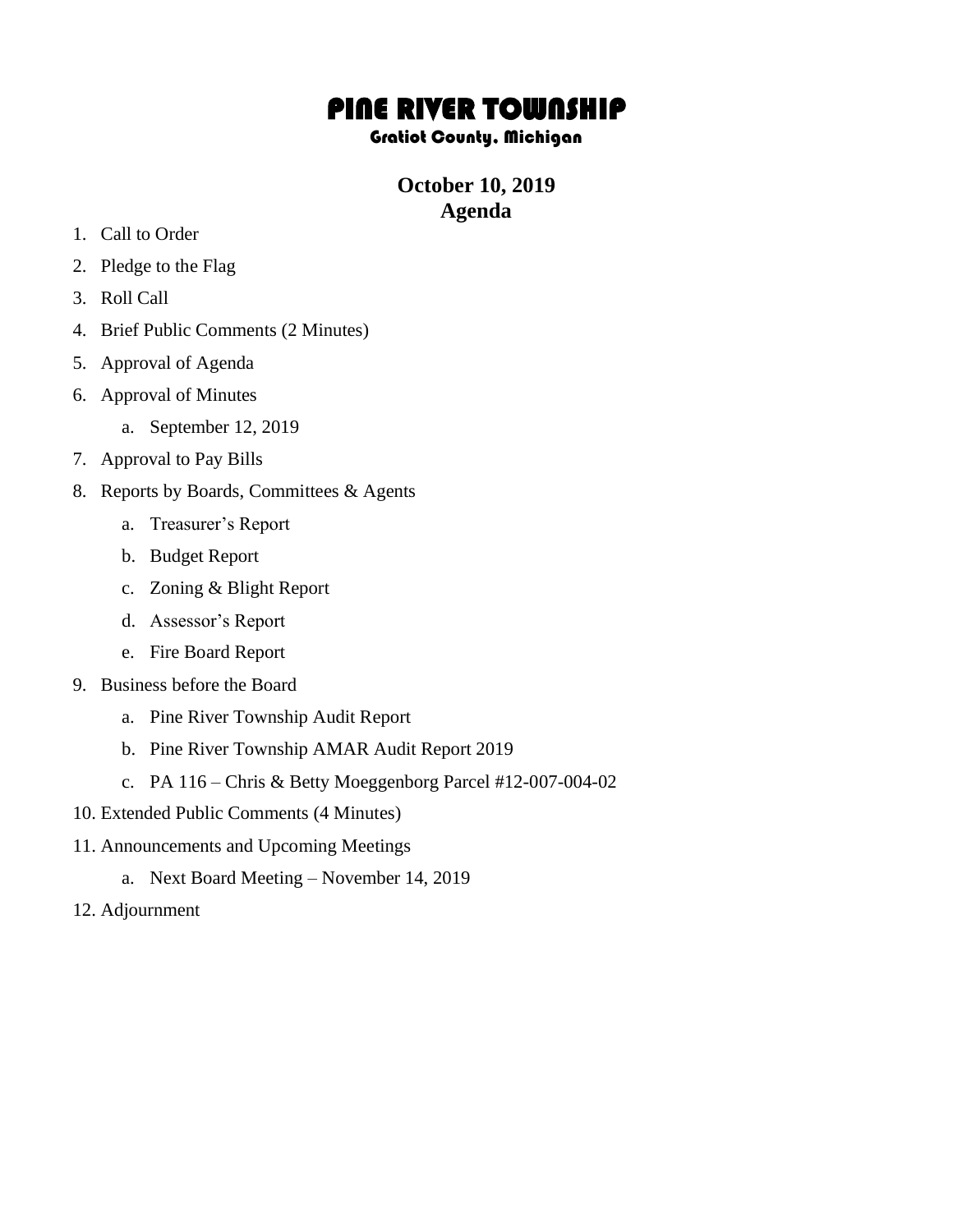## PINE RIVER TOWNSHIP

## Gratiot County, Michigan

## **October 10, 2019 Agenda**

- 1. Call to Order
- 2. Pledge to the Flag
- 3. Roll Call
- 4. Brief Public Comments (2 Minutes)
- 5. Approval of Agenda
- 6. Approval of Minutes
	- a. September 12, 2019
- 7. Approval to Pay Bills
- 8. Reports by Boards, Committees & Agents
	- a. Treasurer's Report
	- b. Budget Report
	- c. Zoning & Blight Report
	- d. Assessor's Report
	- e. Fire Board Report
- 9. Business before the Board
	- a. Pine River Township Audit Report
	- b. Pine River Township AMAR Audit Report 2019
	- c. PA 116 Chris & Betty Moeggenborg Parcel #12-007-004-02
- 10. Extended Public Comments (4 Minutes)
- 11. Announcements and Upcoming Meetings
	- a. Next Board Meeting November 14, 2019
- 12. Adjournment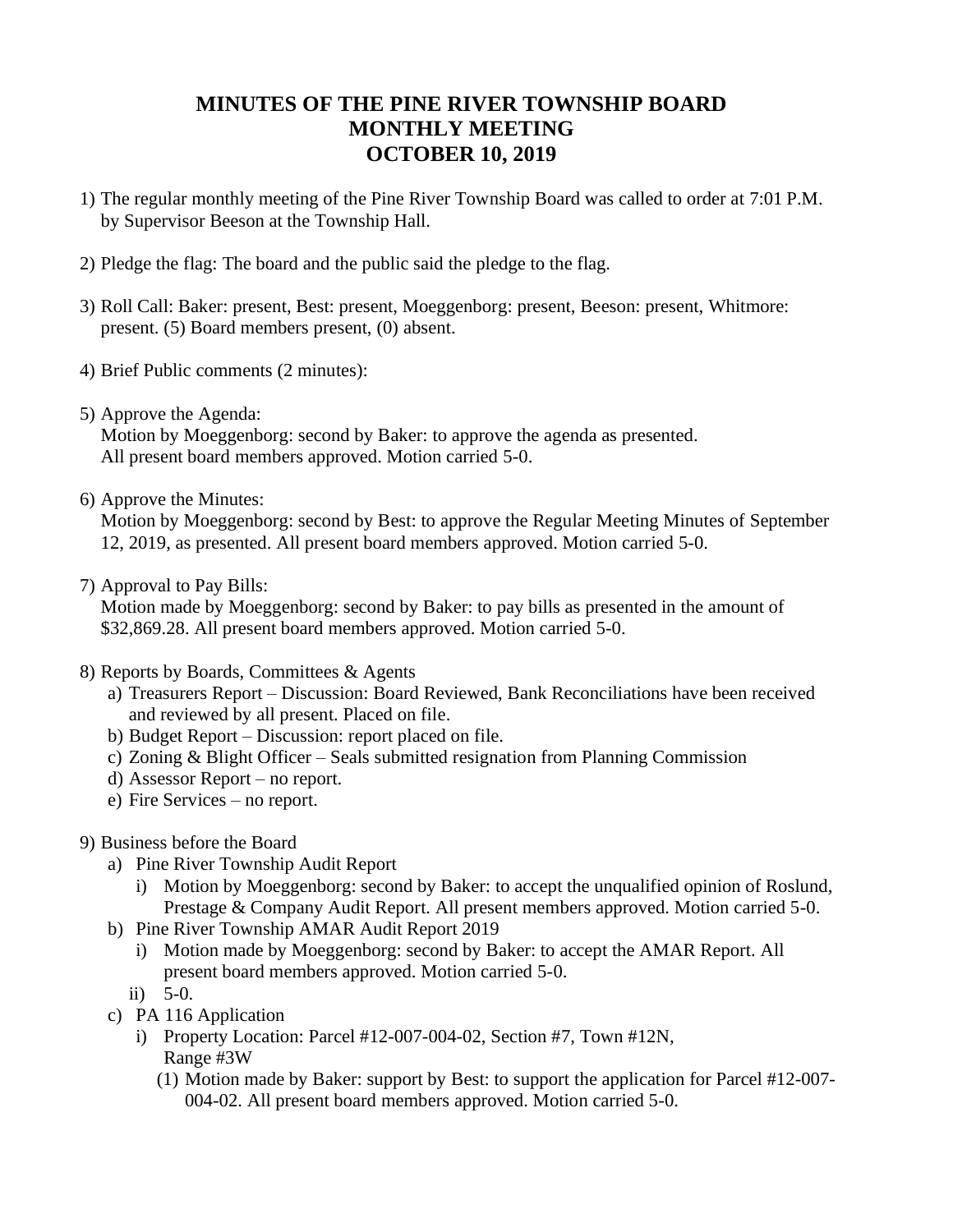## **MINUTES OF THE PINE RIVER TOWNSHIP BOARD MONTHLY MEETING OCTOBER 10, 2019**

- 1) The regular monthly meeting of the Pine River Township Board was called to order at 7:01 P.M. by Supervisor Beeson at the Township Hall.
- 2) Pledge the flag: The board and the public said the pledge to the flag.
- 3) Roll Call: Baker: present, Best: present, Moeggenborg: present, Beeson: present, Whitmore: present. (5) Board members present, (0) absent.
- 4) Brief Public comments (2 minutes):
- 5) Approve the Agenda:

Motion by Moeggenborg: second by Baker: to approve the agenda as presented. All present board members approved. Motion carried 5-0.

6) Approve the Minutes:

Motion by Moeggenborg: second by Best: to approve the Regular Meeting Minutes of September 12, 2019, as presented. All present board members approved. Motion carried 5-0.

7) Approval to Pay Bills:

Motion made by Moeggenborg: second by Baker: to pay bills as presented in the amount of \$32,869.28. All present board members approved. Motion carried 5-0.

- 8) Reports by Boards, Committees & Agents
	- a) Treasurers Report Discussion: Board Reviewed, Bank Reconciliations have been received and reviewed by all present. Placed on file.
	- b) Budget Report Discussion: report placed on file.
	- c) Zoning & Blight Officer Seals submitted resignation from Planning Commission
	- d) Assessor Report no report.
	- e) Fire Services no report.
- 9) Business before the Board
	- a) Pine River Township Audit Report
		- i) Motion by Moeggenborg: second by Baker: to accept the unqualified opinion of Roslund, Prestage & Company Audit Report. All present members approved. Motion carried 5-0.
	- b) Pine River Township AMAR Audit Report 2019
		- i) Motion made by Moeggenborg: second by Baker: to accept the AMAR Report. All present board members approved. Motion carried 5-0.
		- ii) 5-0.
	- c) PA 116 Application
		- i) Property Location: Parcel #12-007-004-02, Section #7, Town #12N, Range #3W
			- (1) Motion made by Baker: support by Best: to support the application for Parcel #12-007- 004-02. All present board members approved. Motion carried 5-0.